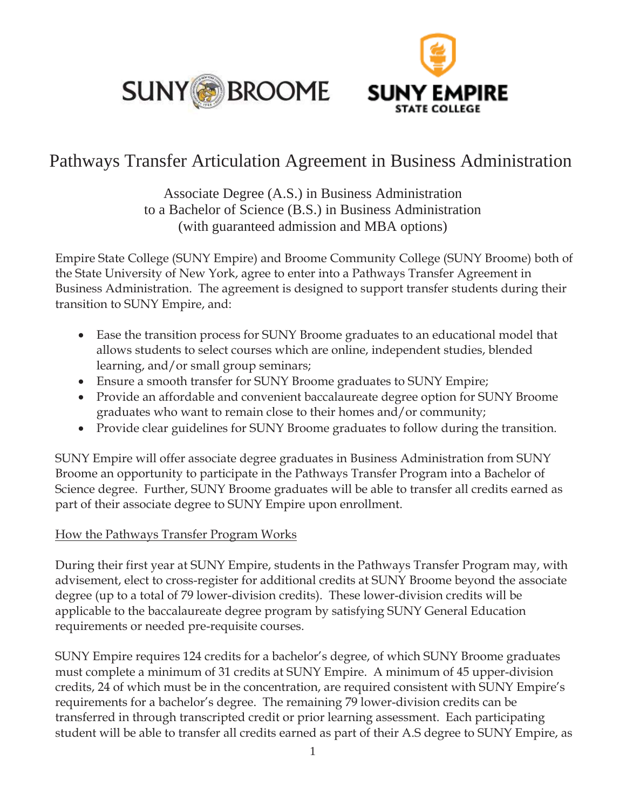



# Pathways Transfer Articulation Agreement in Business Administration

Associate Degree (A.S.) in Business Administration to a Bachelor of Science (B.S.) in Business Administration (with guaranteed admission and MBA options)

Empire State College (SUNY Empire) and Broome Community College (SUNY Broome) both of the State University of New York, agree to enter into a Pathways Transfer Agreement in Business Administration. The agreement is designed to support transfer students during their transition to SUNY Empire, and:

- Ease the transition process for SUNY Broome graduates to an educational model that allows students to select courses which are online, independent studies, blended learning, and/or small group seminars;
- Ensure a smooth transfer for SUNY Broome graduates to SUNY Empire;
- Provide an affordable and convenient baccalaureate degree option for SUNY Broome graduates who want to remain close to their homes and/or community;
- Provide clear guidelines for SUNY Broome graduates to follow during the transition.

SUNY Empire will offer associate degree graduates in Business Administration from SUNY Broome an opportunity to participate in the Pathways Transfer Program into a Bachelor of Science degree. Further, SUNY Broome graduates will be able to transfer all credits earned as part of their associate degree to SUNY Empire upon enrollment.

# How the Pathways Transfer Program Works

During their first year at SUNY Empire, students in the Pathways Transfer Program may, with advisement, elect to cross-register for additional credits at SUNY Broome beyond the associate degree (up to a total of 79 lower-division credits). These lower-division credits will be applicable to the baccalaureate degree program by satisfying SUNY General Education requirements or needed pre-requisite courses.

SUNY Empire requires 124 credits for a bachelor's degree, of which SUNY Broome graduates must complete a minimum of 31 credits at SUNY Empire. A minimum of 45 upper-division credits, 24 of which must be in the concentration, are required consistent with SUNY Empire's requirements for a bachelor's degree. The remaining 79 lower-division credits can be transferred in through transcripted credit or prior learning assessment. Each participating student will be able to transfer all credits earned as part of their A.S degree to SUNY Empire, as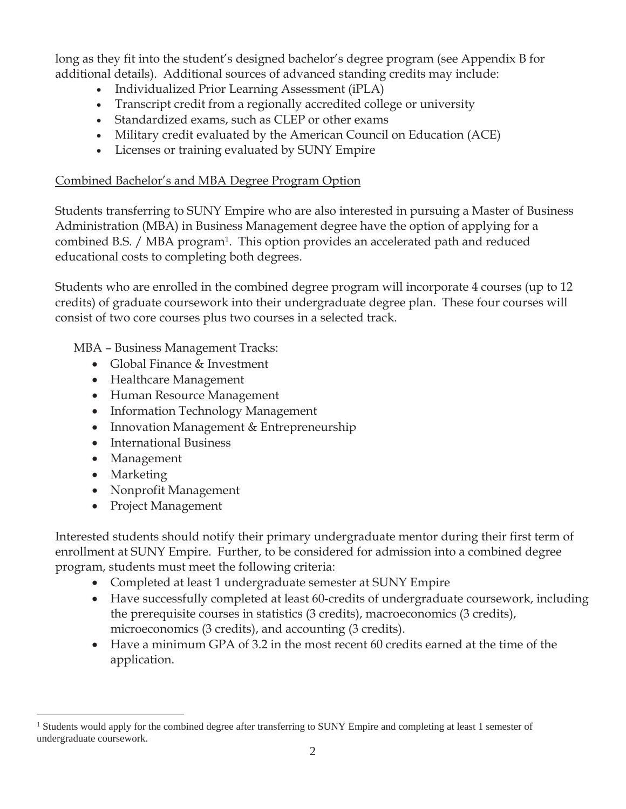long as they fit into the student's designed bachelor's degree program (see Appendix B for additional details). Additional sources of advanced standing credits may include:

- x Individualized Prior Learning Assessment (iPLA)
- Transcript credit from a regionally accredited college or university
- Standardized exams, such as CLEP or other exams
- Military credit evaluated by the American Council on Education (ACE)
- Licenses or training evaluated by SUNY Empire

# Combined Bachelor's and MBA Degree Program Option

Students transferring to SUNY Empire who are also interested in pursuing a Master of Business Administration (MBA) in Business Management degree have the option of applying for a combined B.S. / MBA program1. This option provides an accelerated path and reduced educational costs to completing both degrees.

Students who are enrolled in the combined degree program will incorporate 4 courses (up to 12 credits) of graduate coursework into their undergraduate degree plan. These four courses will consist of two core courses plus two courses in a selected track.

MBA – Business Management Tracks:

- Global Finance & Investment
- Healthcare Management
- Human Resource Management
- Information Technology Management
- Innovation Management & Entrepreneurship
- International Business
- Management
- Marketing
- Nonprofit Management
- Project Management

Interested students should notify their primary undergraduate mentor during their first term of enrollment at SUNY Empire. Further, to be considered for admission into a combined degree program, students must meet the following criteria:

- Completed at least 1 undergraduate semester at SUNY Empire
- Have successfully completed at least 60-credits of undergraduate coursework, including the prerequisite courses in statistics (3 credits), macroeconomics (3 credits), microeconomics (3 credits), and accounting (3 credits).
- $\bullet$  Have a minimum GPA of 3.2 in the most recent 60 credits earned at the time of the application.

<sup>&</sup>lt;sup>1</sup> Students would apply for the combined degree after transferring to SUNY Empire and completing at least 1 semester of undergraduate coursework.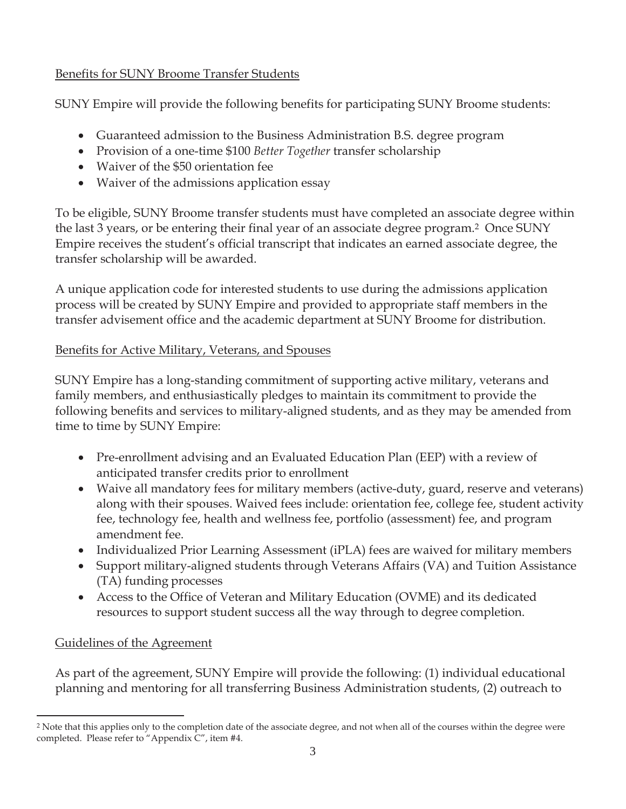# Benefits for SUNY Broome Transfer Students

SUNY Empire will provide the following benefits for participating SUNY Broome students:

- Guaranteed admission to the Business Administration B.S. degree program
- Provision of a one-time \$100 *Better Together* transfer scholarship
- Waiver of the \$50 orientation fee
- Waiver of the admissions application essay

To be eligible, SUNY Broome transfer students must have completed an associate degree within the last 3 years, or be entering their final year of an associate degree program.2 Once SUNY Empire receives the student's official transcript that indicates an earned associate degree, the transfer scholarship will be awarded.

A unique application code for interested students to use during the admissions application process will be created by SUNY Empire and provided to appropriate staff members in the transfer advisement office and the academic department at SUNY Broome for distribution.

# Benefits for Active Military, Veterans, and Spouses

SUNY Empire has a long-standing commitment of supporting active military, veterans and family members, and enthusiastically pledges to maintain its commitment to provide the following benefits and services to military-aligned students, and as they may be amended from time to time by SUNY Empire:

- Pre-enrollment advising and an Evaluated Education Plan (EEP) with a review of anticipated transfer credits prior to enrollment
- Waive all mandatory fees for military members (active-duty, guard, reserve and veterans) along with their spouses. Waived fees include: orientation fee, college fee, student activity fee, technology fee, health and wellness fee, portfolio (assessment) fee, and program amendment fee.
- Individualized Prior Learning Assessment (iPLA) fees are waived for military members
- Support military-aligned students through Veterans Affairs (VA) and Tuition Assistance (TA) funding processes
- Access to the Office of Veteran and Military Education (OVME) and its dedicated resources to support student success all the way through to degree completion.

# Guidelines of the Agreement

As part of the agreement, SUNY Empire will provide the following: (1) individual educational planning and mentoring for all transferring Business Administration students, (2) outreach to

<sup>&</sup>lt;sup>2</sup> Note that this applies only to the completion date of the associate degree, and not when all of the courses within the degree were completed. Please refer to "Appendix C", item #4.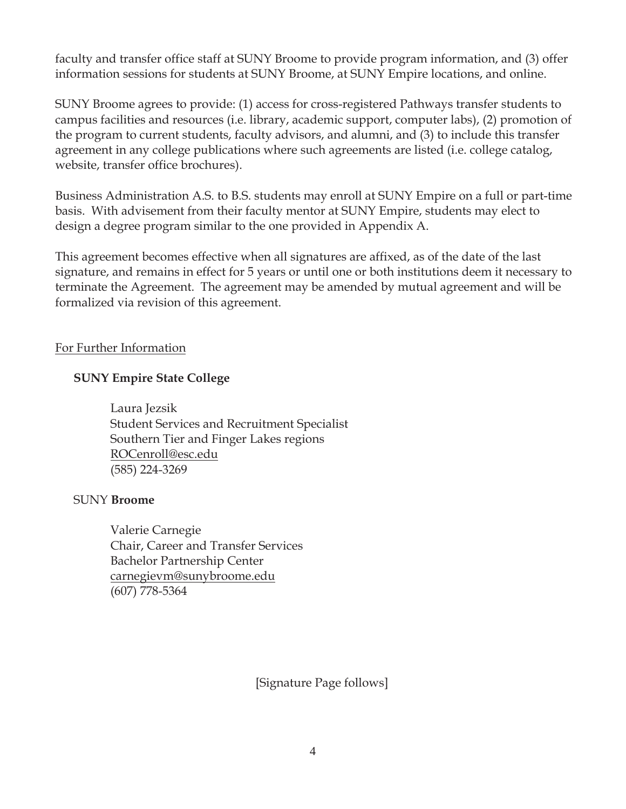faculty and transfer office staff at SUNY Broome to provide program information, and (3) offer information sessions for students at SUNY Broome, at SUNY Empire locations, and online.

SUNY Broome agrees to provide: (1) access for cross-registered Pathways transfer students to campus facilities and resources (i.e. library, academic support, computer labs), (2) promotion of the program to current students, faculty advisors, and alumni, and (3) to include this transfer agreement in any college publications where such agreements are listed (i.e. college catalog, website, transfer office brochures).

Business Administration A.S. to B.S. students may enroll at SUNY Empire on a full or part-time basis. With advisement from their faculty mentor at SUNY Empire, students may elect to design a degree program similar to the one provided in Appendix A.

This agreement becomes effective when all signatures are affixed, as of the date of the last signature, and remains in effect for 5 years or until one or both institutions deem it necessary to terminate the Agreement. The agreement may be amended by mutual agreement and will be formalized via revision of this agreement.

## For Further Information

## **SUNY Empire State College**

Laura Jezsik Student Services and Recruitment Specialist Southern Tier and Finger Lakes regions ROCenroll@esc.edu (585) 224-3269

## SUNY **Broome**

 Valerie Carnegie Chair, Career and Transfer Services Bachelor Partnership Center carnegievm@sunybroome.edu (607) 778-5364

[Signature Page follows]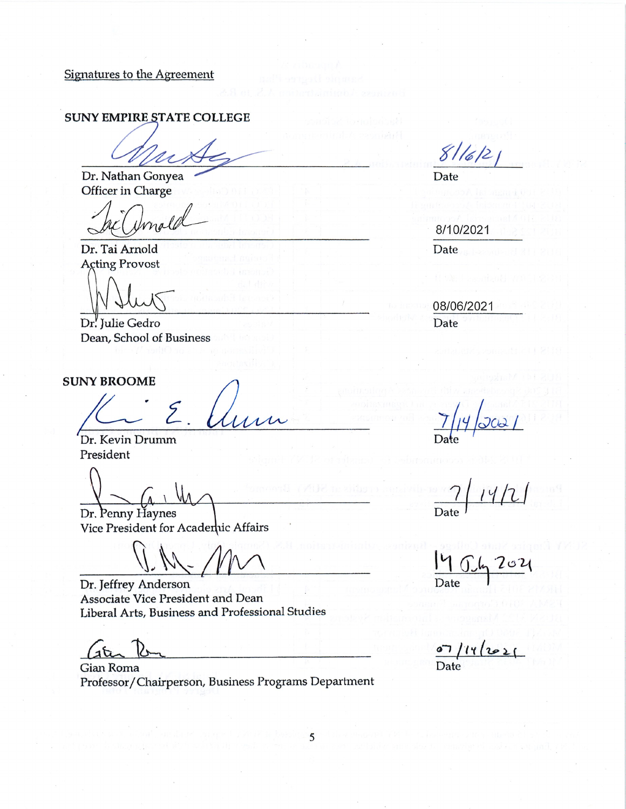Signatures to the Agreement

#### **SUNY EMPIRE STATE COLLEGE**

Dr. Nathan Gonyea Officer in Charge

male

Dr. Tai Arnold **Acting Provost** 

Dr. Julie Gedro Dean, School of Business

#### **SUNY BROOME**

Dr. Kevin Drumm President

Dr. Penny Haynes Vice President for Acadenic Affairs

Dr. Jeffrey Anderson Associate Vice President and Dean Liberal Arts, Business and Professional Studies

Gian Roma Professor/Chairperson, Business Programs Department

5

 $8116121$ 

Date

8/10/2021 Date

08/06/2021 Date

Date

2021 Date

 $\bullet$  $2021$ Date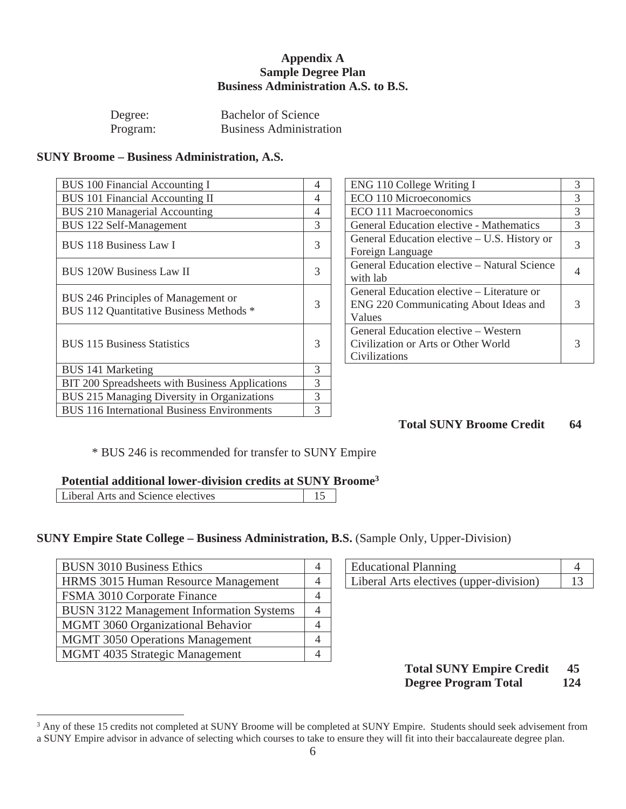#### **Appendix A Sample Degree Plan Business Administration A.S. to B.S.**

| Degree:  | <b>Bachelor of Science</b>     |
|----------|--------------------------------|
| Program: | <b>Business Administration</b> |

#### **SUNY Broome – Business Administration, A.S.**

| <b>BUS 100 Financial Accounting I</b>                                          | 4              | ENG 110 College Writing I                                                                     | 3              |
|--------------------------------------------------------------------------------|----------------|-----------------------------------------------------------------------------------------------|----------------|
| BUS 101 Financial Accounting II                                                | 4              | ECO 110 Microeconomics                                                                        | 3              |
| <b>BUS 210 Managerial Accounting</b>                                           | $\overline{4}$ | ECO 111 Macroeconomics                                                                        | 3              |
| BUS 122 Self-Management                                                        | 3              | General Education elective - Mathematics                                                      | 3              |
| BUS 118 Business Law I                                                         | 3              | General Education elective – U.S. History or<br>Foreign Language                              | 3              |
| <b>BUS 120W Business Law II</b>                                                | 3              | General Education elective – Natural Science<br>with lab                                      | $\overline{4}$ |
| BUS 246 Principles of Management or<br>BUS 112 Quantitative Business Methods * | 3              | General Education elective – Literature or<br>ENG 220 Communicating About Ideas and<br>Values | 3              |
| <b>BUS</b> 115 Business Statistics                                             | 3              | General Education elective – Western<br>Civilization or Arts or Other World<br>Civilizations  | 3              |
| <b>BUS 141 Marketing</b>                                                       | 3              |                                                                                               |                |
| BIT 200 Spreadsheets with Business Applications                                | 3              |                                                                                               |                |
| BUS 215 Managing Diversity in Organizations                                    | 3              |                                                                                               |                |
| <b>BUS 116 International Business Environments</b>                             | 3              |                                                                                               |                |

| ENG 110 College Writing I                                                                     |  |
|-----------------------------------------------------------------------------------------------|--|
| ECO 110 Microeconomics                                                                        |  |
| ECO 111 Macroeconomics                                                                        |  |
| <b>General Education elective - Mathematics</b>                                               |  |
| General Education elective – U.S. History or<br>Foreign Language                              |  |
| General Education elective – Natural Science<br>with lab                                      |  |
| General Education elective – Literature or<br>ENG 220 Communicating About Ideas and<br>Values |  |
| General Education elective – Western<br>Civilization or Arts or Other World<br>Civilizations  |  |

## **Total SUNY Broome Credit 64**

\* BUS 246 is recommended for transfer to SUNY Empire

#### **Potential additional lower-division credits at SUNY Broome3**

|--|

#### **SUNY Empire State College – Business Administration, B.S.** (Sample Only, Upper-Division)

| <b>BUSN 3010 Business Ethics</b>                | <b>Educational Planning</b>             | $\overline{4}$ |
|-------------------------------------------------|-----------------------------------------|----------------|
| HRMS 3015 Human Resource Management             | Liberal Arts electives (upper-division) | 13             |
| FSMA 3010 Corporate Finance                     |                                         |                |
| <b>BUSN 3122 Management Information Systems</b> |                                         |                |
| MGMT 3060 Organizational Behavior               |                                         |                |
| <b>MGMT</b> 3050 Operations Management          |                                         |                |
| MGMT 4035 Strategic Management                  |                                         |                |
|                                                 |                                         |                |

| <b>Educational Planning</b>             |  |
|-----------------------------------------|--|
| Liberal Arts electives (upper-division) |  |

#### **Total SUNY Empire Credit 45 Degree Program Total 124**

<sup>&</sup>lt;sup>3</sup> Any of these 15 credits not completed at SUNY Broome will be completed at SUNY Empire. Students should seek advisement from a SUNY Empire advisor in advance of selecting which courses to take to ensure they will fit into their baccalaureate degree plan.